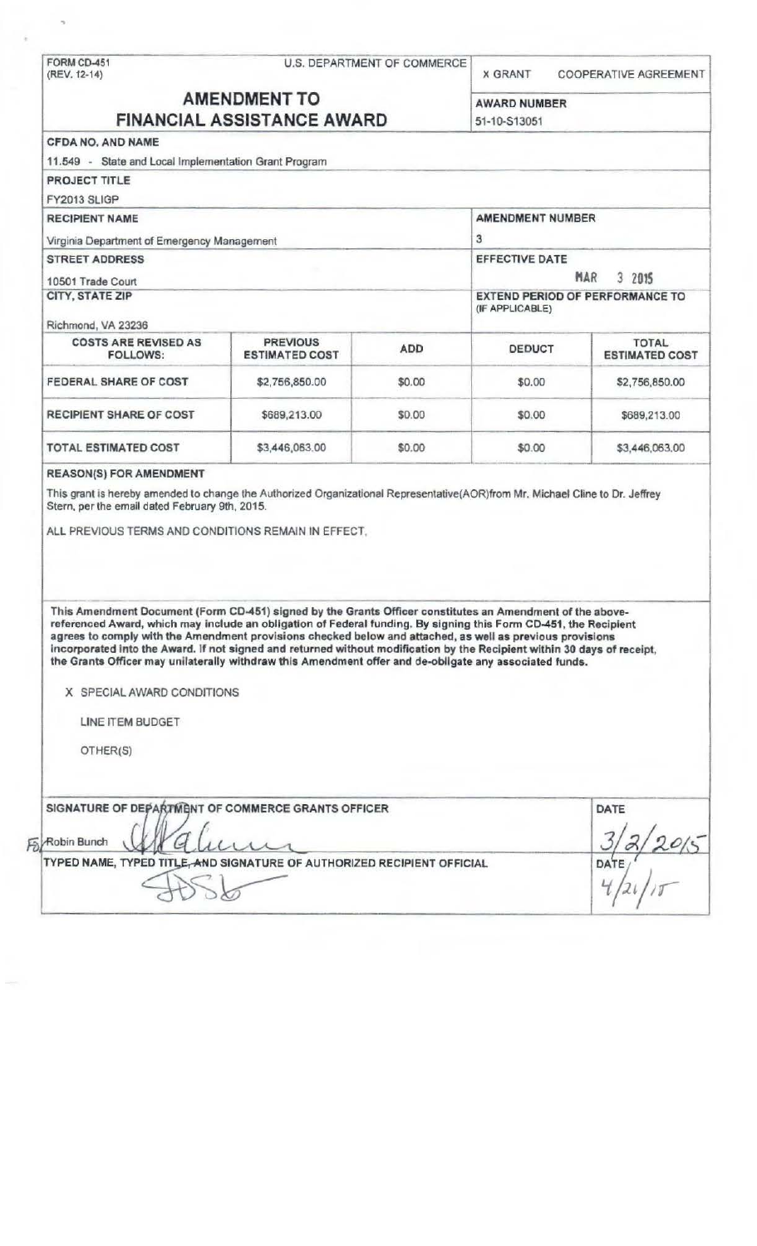|                                                                                                                                                                                                                                                                                                                                                                                                                                                                                                                                                                                                                 |                                          | U.S. DEPARTMENT OF COMMERCE | <b>X GRANT</b>      | COOPERATIVE AGREEMENT                 |  |
|-----------------------------------------------------------------------------------------------------------------------------------------------------------------------------------------------------------------------------------------------------------------------------------------------------------------------------------------------------------------------------------------------------------------------------------------------------------------------------------------------------------------------------------------------------------------------------------------------------------------|------------------------------------------|-----------------------------|---------------------|---------------------------------------|--|
| <b>AMENDMENT TO</b><br><b>FINANCIAL ASSISTANCE AWARD</b>                                                                                                                                                                                                                                                                                                                                                                                                                                                                                                                                                        |                                          |                             | <b>AWARD NUMBER</b> |                                       |  |
|                                                                                                                                                                                                                                                                                                                                                                                                                                                                                                                                                                                                                 |                                          |                             | 51-10-S13051        |                                       |  |
| <b>CFDA NO. AND NAME</b>                                                                                                                                                                                                                                                                                                                                                                                                                                                                                                                                                                                        |                                          |                             |                     |                                       |  |
| 11.549 - State and Local Implementation Grant Program                                                                                                                                                                                                                                                                                                                                                                                                                                                                                                                                                           |                                          |                             |                     |                                       |  |
| <b>PROJECT TITLE</b>                                                                                                                                                                                                                                                                                                                                                                                                                                                                                                                                                                                            |                                          |                             |                     |                                       |  |
| FY2013 SLIGP                                                                                                                                                                                                                                                                                                                                                                                                                                                                                                                                                                                                    |                                          |                             |                     |                                       |  |
| <b>RECIPIENT NAME</b><br>Virginia Department of Emergency Management<br><b>STREET ADDRESS</b>                                                                                                                                                                                                                                                                                                                                                                                                                                                                                                                   |                                          |                             | AMENDMENT NUMBER    |                                       |  |
|                                                                                                                                                                                                                                                                                                                                                                                                                                                                                                                                                                                                                 |                                          |                             | 3<br>EFFECTIVE DATE |                                       |  |
|                                                                                                                                                                                                                                                                                                                                                                                                                                                                                                                                                                                                                 |                                          |                             |                     |                                       |  |
| 10501 Trade Court<br><b>CITY, STATE ZIP</b>                                                                                                                                                                                                                                                                                                                                                                                                                                                                                                                                                                     |                                          |                             |                     |                                       |  |
|                                                                                                                                                                                                                                                                                                                                                                                                                                                                                                                                                                                                                 |                                          |                             |                     |                                       |  |
| Richmond, VA 23236                                                                                                                                                                                                                                                                                                                                                                                                                                                                                                                                                                                              |                                          |                             |                     |                                       |  |
| <b>COSTS ARE REVISED AS</b><br><b>FOLLOWS:</b>                                                                                                                                                                                                                                                                                                                                                                                                                                                                                                                                                                  | <b>PREVIOUS</b><br><b>ESTIMATED COST</b> | <b>ADD</b>                  | <b>DEDUCT</b>       | <b>TOTAL</b><br><b>ESTIMATED COST</b> |  |
| FEDERAL SHARE OF COST                                                                                                                                                                                                                                                                                                                                                                                                                                                                                                                                                                                           | \$2,756,850.00                           | \$0.00                      | \$0.00              | \$2,756,850.00                        |  |
| <b>RECIPIENT SHARE OF COST</b>                                                                                                                                                                                                                                                                                                                                                                                                                                                                                                                                                                                  | \$689,213.00                             | \$0.00                      | \$0.00              | \$689,213.00                          |  |
| <b>TOTAL ESTIMATED COST</b>                                                                                                                                                                                                                                                                                                                                                                                                                                                                                                                                                                                     | \$3,446,063.00                           | \$0.00                      | \$0.00              | \$3,446,063.00                        |  |
| This grant is hereby amended to change the Authorized Organizational Representative(AOR)from Mr. Michael Cline to Dr. Jeffrey<br>Stern, per the email dated February 9th, 2015.                                                                                                                                                                                                                                                                                                                                                                                                                                 |                                          |                             |                     |                                       |  |
| ALL PREVIOUS TERMS AND CONDITIONS REMAIN IN EFFECT.                                                                                                                                                                                                                                                                                                                                                                                                                                                                                                                                                             |                                          |                             |                     |                                       |  |
| This Amendment Document (Form CD-451) signed by the Grants Officer constitutes an Amendment of the above-<br>referenced Award, which may include an obligation of Federal funding. By signing this Form CD-451, the Recipient<br>agrees to comply with the Amendment provisions checked below and attached, as well as previous provisions<br>incorporated into the Award. If not signed and returned without modification by the Recipient within 30 days of receipt,<br>the Grants Officer may unilaterally withdraw this Amendment offer and de-obligate any associated funds.<br>X SPECIAL AWARD CONDITIONS |                                          |                             |                     |                                       |  |
| LINE ITEM BUDGET                                                                                                                                                                                                                                                                                                                                                                                                                                                                                                                                                                                                |                                          |                             |                     |                                       |  |
| OTHER(S)                                                                                                                                                                                                                                                                                                                                                                                                                                                                                                                                                                                                        |                                          |                             |                     |                                       |  |
| SIGNATURE OF DEPARTMENT OF COMMERCE GRANTS OFFICER                                                                                                                                                                                                                                                                                                                                                                                                                                                                                                                                                              |                                          |                             |                     | DATE                                  |  |
| Robin Bunch                                                                                                                                                                                                                                                                                                                                                                                                                                                                                                                                                                                                     |                                          |                             |                     |                                       |  |